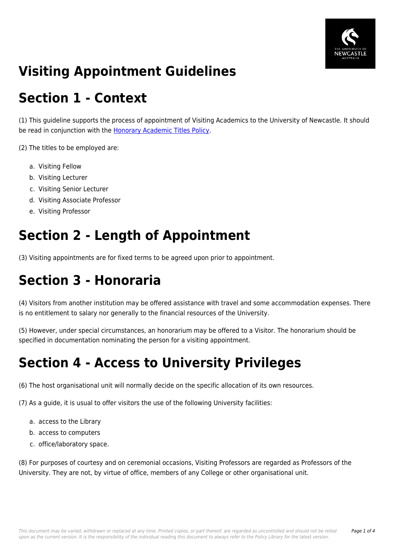

## **Visiting Appointment Guidelines**

## **Section 1 - Context**

(1) This guideline supports the process of appointment of Visiting Academics to the University of Newcastle. It should be read in conjunction with the [Honorary Academic Titles Policy](https://policies.newcastle.edu.au/document/view-current.php?id=147).

(2) The titles to be employed are:

- a. Visiting Fellow
- b. Visiting Lecturer
- c. Visiting Senior Lecturer
- d. Visiting Associate Professor
- e. Visiting Professor

#### **Section 2 - Length of Appointment**

(3) Visiting appointments are for fixed terms to be agreed upon prior to appointment.

## **Section 3 - Honoraria**

(4) Visitors from another institution may be offered assistance with travel and some accommodation expenses. There is no entitlement to salary nor generally to the financial resources of the University.

(5) However, under special circumstances, an honorarium may be offered to a Visitor. The honorarium should be specified in documentation nominating the person for a visiting appointment.

## **Section 4 - Access to University Privileges**

(6) The host organisational unit will normally decide on the specific allocation of its own resources.

(7) As a guide, it is usual to offer visitors the use of the following University facilities:

- a. access to the Library
- b. access to computers
- c. office/laboratory space.

(8) For purposes of courtesy and on ceremonial occasions, Visiting Professors are regarded as Professors of the University. They are not, by virtue of office, members of any College or other organisational unit.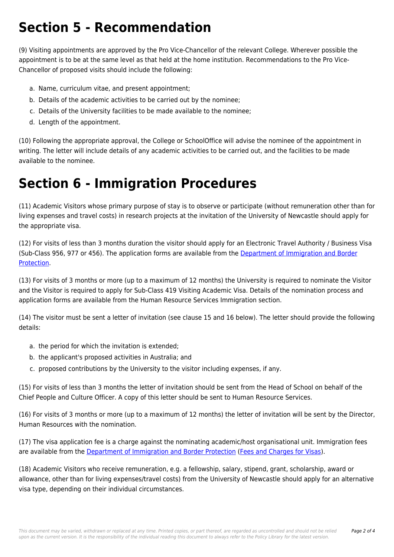# **Section 5 - Recommendation**

(9) Visiting appointments are approved by the Pro Vice-Chancellor of the relevant College. Wherever possible the appointment is to be at the same level as that held at the home institution. Recommendations to the Pro Vice-Chancellor of proposed visits should include the following:

- a. Name, curriculum vitae, and present appointment;
- b. Details of the academic activities to be carried out by the nominee;
- c. Details of the University facilities to be made available to the nominee;
- d. Length of the appointment.

(10) Following the appropriate approval, the College or SchoolOffice will advise the nominee of the appointment in writing. The letter will include details of any academic activities to be carried out, and the facilities to be made available to the nominee.

### **Section 6 - Immigration Procedures**

(11) Academic Visitors whose primary purpose of stay is to observe or participate (without remuneration other than for living expenses and travel costs) in research projects at the invitation of the University of Newcastle should apply for the appropriate visa.

(12) For visits of less than 3 months duration the visitor should apply for an Electronic Travel Authority / Business Visa (Sub-Class 956, 977 or 456). The application forms are available from the [Department of Immigration and Border](https://policies.newcastle.edu.au/download.php?id=11&version=1&associated) [Protection](https://policies.newcastle.edu.au/download.php?id=11&version=1&associated).

(13) For visits of 3 months or more (up to a maximum of 12 months) the University is required to nominate the Visitor and the Visitor is required to apply for Sub-Class 419 Visiting Academic Visa. Details of the nomination process and application forms are available from the Human Resource Services Immigration section.

(14) The visitor must be sent a letter of invitation (see clause 15 and 16 below). The letter should provide the following details:

- a. the period for which the invitation is extended;
- b. the applicant's proposed activities in Australia; and
- c. proposed contributions by the University to the visitor including expenses, if any.

(15) For visits of less than 3 months the letter of invitation should be sent from the Head of School on behalf of the Chief People and Culture Officer. A copy of this letter should be sent to Human Resource Services.

(16) For visits of 3 months or more (up to a maximum of 12 months) the letter of invitation will be sent by the Director, Human Resources with the nomination.

(17) The visa application fee is a charge against the nominating academic/host organisational unit. Immigration fees are available from the [Department of Immigration and Border Protection](https://policies.newcastle.edu.au/download.php?id=11&version=1&associated) ([Fees and Charges for Visas](https://policies.newcastle.edu.au/download.php?id=140&version=1&associated)).

(18) Academic Visitors who receive remuneration, e.g. a fellowship, salary, stipend, grant, scholarship, award or allowance, other than for living expenses/travel costs) from the University of Newcastle should apply for an alternative visa type, depending on their individual circumstances.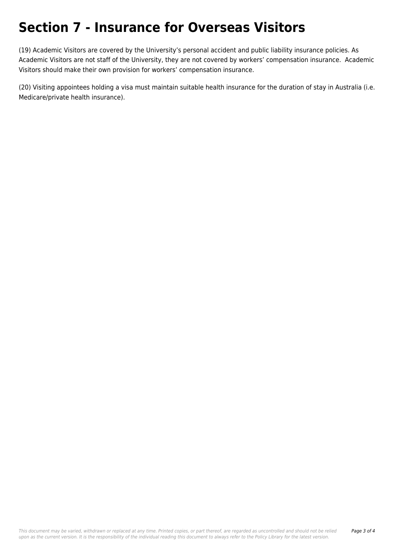## **Section 7 - Insurance for Overseas Visitors**

(19) Academic Visitors are covered by the University's personal accident and public liability insurance policies. As Academic Visitors are not staff of the University, they are not covered by workers' compensation insurance. Academic Visitors should make their own provision for workers' compensation insurance.

(20) Visiting appointees holding a visa must maintain suitable health insurance for the duration of stay in Australia (i.e. Medicare/private health insurance).